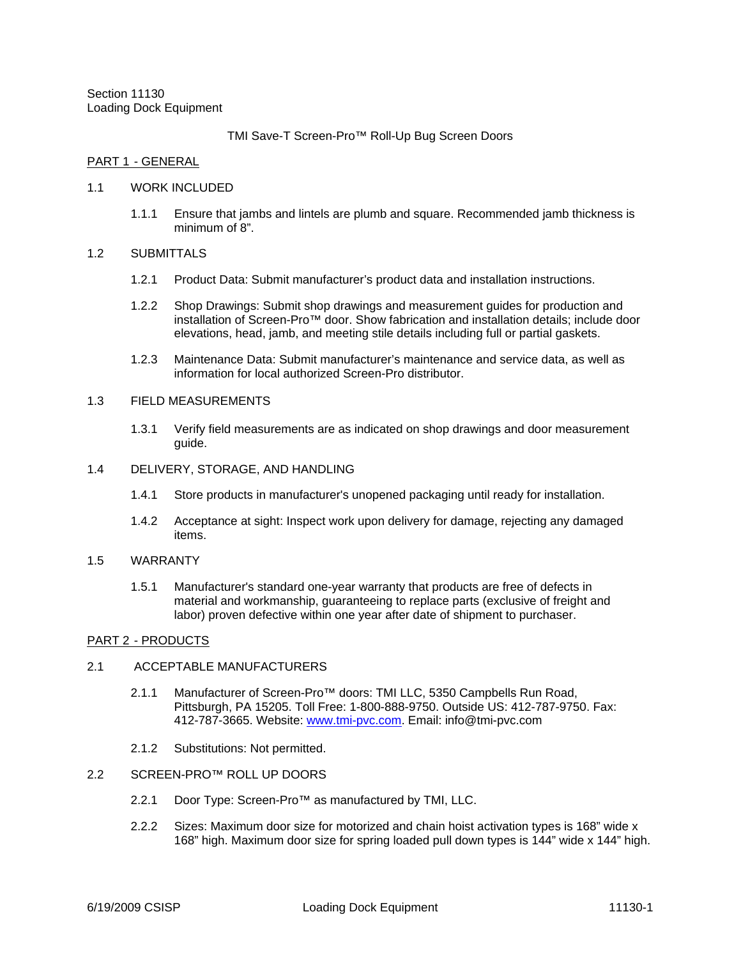Section 11130 Loading Dock Equipment

TMI Save-T Screen-Pro™ Roll-Up Bug Screen Doors

### PART 1 - GENERAL

#### 1.1 WORK INCLUDED

1.1.1 Ensure that jambs and lintels are plumb and square. Recommended jamb thickness is minimum of 8".

### 1.2 SUBMITTALS

- 1.2.1 Product Data: Submit manufacturer's product data and installation instructions.
- 1.2.2 Shop Drawings: Submit shop drawings and measurement guides for production and installation of Screen-Pro™ door. Show fabrication and installation details; include door elevations, head, jamb, and meeting stile details including full or partial gaskets.
- 1.2.3 Maintenance Data: Submit manufacturer's maintenance and service data, as well as information for local authorized Screen-Pro distributor.

# 1.3 FIELD MEASUREMENTS

- 1.3.1 Verify field measurements are as indicated on shop drawings and door measurement guide.
- 1.4 DELIVERY, STORAGE, AND HANDLING
	- 1.4.1 Store products in manufacturer's unopened packaging until ready for installation.
	- 1.4.2 Acceptance at sight: Inspect work upon delivery for damage, rejecting any damaged items.
- 1.5 WARRANTY
	- 1.5.1 Manufacturer's standard one-year warranty that products are free of defects in material and workmanship, guaranteeing to replace parts (exclusive of freight and labor) proven defective within one year after date of shipment to purchaser.

# PART 2 - PRODUCTS

# 2.1 ACCEPTABLE MANUFACTURERS

- 2.1.1 Manufacturer of Screen-Pro™ doors: TMI LLC, 5350 Campbells Run Road, Pittsburgh, PA 15205. Toll Free: 1-800-888-9750. Outside US: 412-787-9750. Fax: 412-787-3665. Website: www.tmi-pvc.com. Email: info@tmi-pvc.com
- 2.1.2 Substitutions: Not permitted.
- 2.2 SCREEN-PRO™ ROLL UP DOORS
	- 2.2.1 Door Type: Screen-Pro™ as manufactured by TMI, LLC.
	- 2.2.2 Sizes: Maximum door size for motorized and chain hoist activation types is 168" wide x 168" high. Maximum door size for spring loaded pull down types is 144" wide x 144" high.